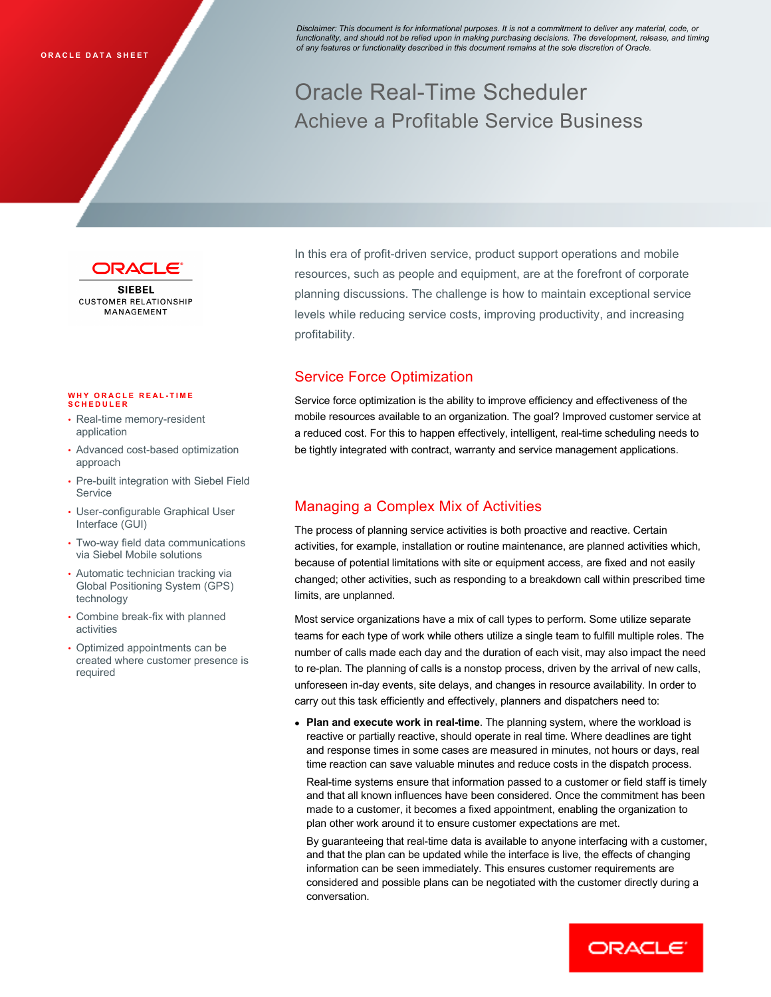Disclaimer: This document is for informational purposes. It is not a commitment to deliver any material, code, or functionality, and should not be relied upon in making purchasing decisions. The development, release, and timing of any features or functionality described in this document remains at the sole discretion of Oracle.

## Oracle Real-Time Scheduler Achieve a Profitable Service Business



**SIFREL CUSTOMER RELATIONSHIP** MANAGEMENT

## **WHY ORACLE REAL-TIME SCHEDULER**

- Real-time memory-resident application
- Advanced cost-based optimization approach
- Pre-built integration with Siebel Field Service
- User-configurable Graphical User Interface (GUI)
- Two-way field data communications via Siebel Mobile solutions
- Automatic technician tracking via Global Positioning System (GPS) technology
- Combine break-fix with planned activities
- Optimized appointments can be created where customer presence is required

In this era of profit-driven service, product support operations and mobile resources, such as people and equipment, are at the forefront of corporate planning discussions. The challenge is how to maintain exceptional service levels while reducing service costs, improving productivity, and increasing

# profitability.<br>Service Force Optimization

Service force optimization is the ability to improve efficiency and effectiveness of the mobile resources available to an organization. The goal? Improved customer service at a reduced cost. For this to happen effectively, intelligent, real-time scheduling needs to be tightly integrated with contract, warranty and service management applications.

## Managing a Complex Mix of Activities

The process of planning service activities is both proactive and reactive. Certain activities, for example, installation or routine maintenance, are planned activities which, because of potential limitations with site or equipment access, are fixed and not easily changed; other activities, such as responding to a breakdown call within prescribed time limits, are unplanned.

Most service organizations have a mix of call types to perform. Some utilize separate teams for each type of work while others utilize a single team to fulfill multiple roles. The number of calls made each day and the duration of each visit, may also impact the need to re-plan. The planning of calls is a nonstop process, driven by the arrival of new calls, unforeseen in-day events, site delays, and changes in resource availability. In order to carry out this task efficiently and effectively, planners and dispatchers need to:

• Plan and execute work in real-time. The planning system, where the workload is reactive or partially reactive, should operate in real time. Where deadlines are tight and response times in some cases are measured in minutes, not hours or days, real time reaction can save valuable minutes and reduce costs in the dispatch process.

Real-time systems ensure that information passed to a customer or field staff is timely and that all known influences have been considered. Once the commitment has been made to a customer, it becomes a fixed appointment, enabling the organization to plan other work around it to ensure customer expectations are met.

By guaranteeing that real-time data is available to anyone interfacing with a customer, and that the plan can be updated while the interface is live, the effects of changing information can be seen immediately. This ensures customer requirements are considered and possible plans can be negotiated with the customer directly during a conversation.